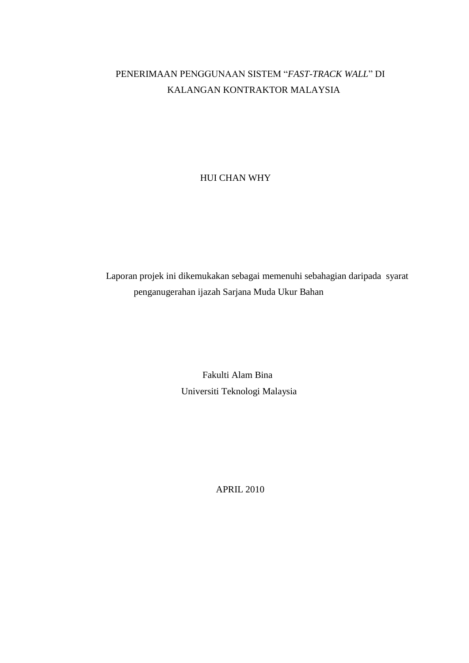## PENERIMAAN PENGGUNAAN SISTEM "*FAST-TRACK WALL*" DI KALANGAN KONTRAKTOR MALAYSIA

## HUI CHAN WHY

Laporan projek ini dikemukakan sebagai memenuhi sebahagian daripada syarat penganugerahan ijazah Sarjana Muda Ukur Bahan

> Fakulti Alam Bina Universiti Teknologi Malaysia

> > APRIL 2010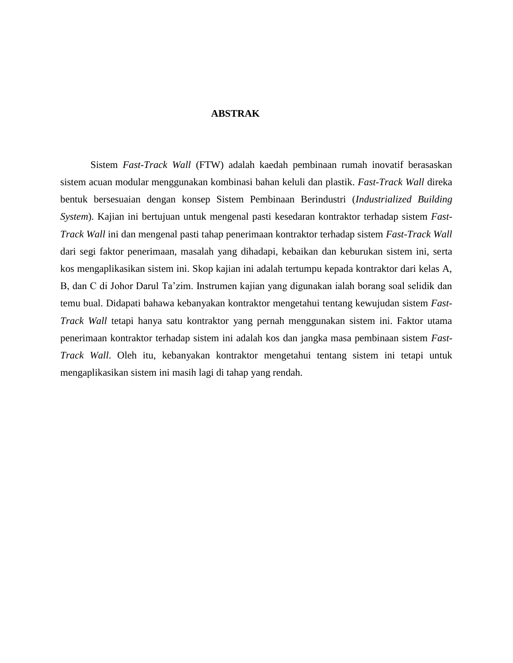## **ABSTRAK**

Sistem *Fast-Track Wall* (FTW) adalah kaedah pembinaan rumah inovatif berasaskan sistem acuan modular menggunakan kombinasi bahan keluli dan plastik. *Fast-Track Wall* direka bentuk bersesuaian dengan konsep Sistem Pembinaan Berindustri (*Industrialized Building System*). Kajian ini bertujuan untuk mengenal pasti kesedaran kontraktor terhadap sistem *Fast-Track Wall* ini dan mengenal pasti tahap penerimaan kontraktor terhadap sistem *Fast-Track Wall* dari segi faktor penerimaan, masalah yang dihadapi, kebaikan dan keburukan sistem ini, serta kos mengaplikasikan sistem ini. Skop kajian ini adalah tertumpu kepada kontraktor dari kelas A, B, dan C di Johor Darul Ta'zim. Instrumen kajian yang digunakan ialah borang soal selidik dan temu bual. Didapati bahawa kebanyakan kontraktor mengetahui tentang kewujudan sistem *Fast-Track Wall* tetapi hanya satu kontraktor yang pernah menggunakan sistem ini. Faktor utama penerimaan kontraktor terhadap sistem ini adalah kos dan jangka masa pembinaan sistem *Fast-Track Wall*. Oleh itu, kebanyakan kontraktor mengetahui tentang sistem ini tetapi untuk mengaplikasikan sistem ini masih lagi di tahap yang rendah.